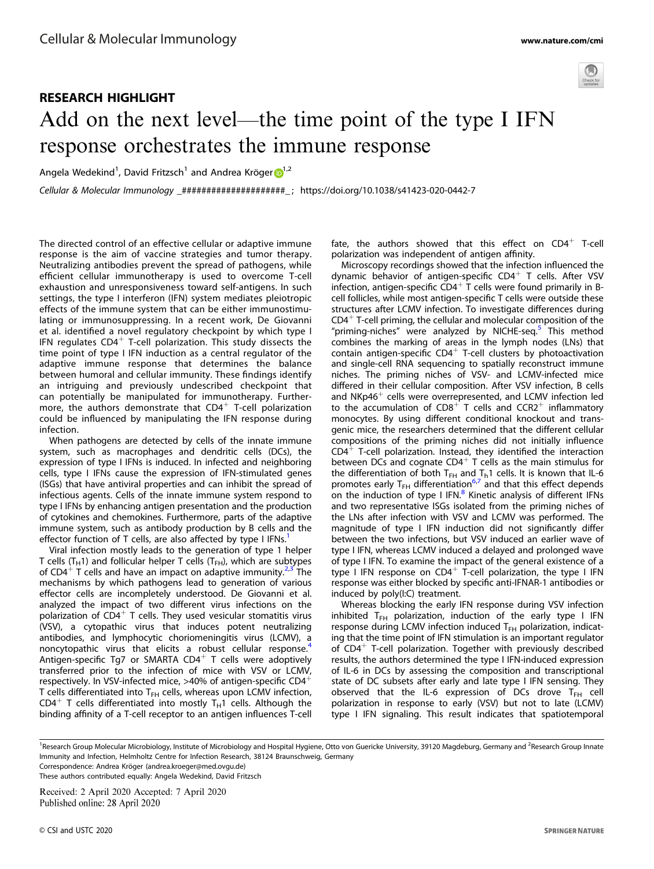

## RESEARCH HIGHLIGHT Add on the next level—the time point of the type I IFN response orchestrates the immune response

Angela Wedekind<sup>[1](http://orcid.org/0000-0003-1967-8711)</sup>, David Fritzsch<sup>1</sup> and Andrea Kröger D<sup>1,2</sup>

Cellular & Molecular Immunology \_#####################\_ ; https://doi.org/10.1038/s41423-020-0442-7

The directed control of an effective cellular or adaptive immune response is the aim of vaccine strategies and tumor therapy. Neutralizing antibodies prevent the spread of pathogens, while efficient cellular immunotherapy is used to overcome T-cell exhaustion and unresponsiveness toward self-antigens. In such settings, the type I interferon (IFN) system mediates pleiotropic effects of the immune system that can be either immunostimulating or immunosuppressing. In a recent work, De Giovanni et al. identified a novel regulatory checkpoint by which type I IFN requlates  $CD4^+$  T-cell polarization. This study dissects the time point of type I IFN induction as a central regulator of the adaptive immune response that determines the balance between humoral and cellular immunity. These findings identify an intriguing and previously undescribed checkpoint that can potentially be manipulated for immunotherapy. Furthermore, the authors demonstrate that  $CD4^+$  T-cell polarization could be influenced by manipulating the IFN response during infection.

When pathogens are detected by cells of the innate immune system, such as macrophages and dendritic cells (DCs), the expression of type I IFNs is induced. In infected and neighboring cells, type I IFNs cause the expression of IFN-stimulated genes (ISGs) that have antiviral properties and can inhibit the spread of infectious agents. Cells of the innate immune system respond to type I IFNs by enhancing antigen presentation and the production of cytokines and chemokines. Furthermore, parts of the adaptive immune system, such as antibody production by B cells and the effector function of T cells, are also affected by type I IFNs.<sup>[1](#page-1-0)</sup>

Viral infection mostly leads to the generation of type 1 helper T cells (T<sub>H</sub>1) and follicular helper T cells (T<sub>FH</sub>), which are subtypes of CD4<sup>+</sup> T cells and have an impact on adaptive immunity.<sup>[2,3](#page-1-0)</sup> The mechanisms by which pathogens lead to generation of various effector cells are incompletely understood. De Giovanni et al. analyzed the impact of two different virus infections on the polarization of  $CD4^+$  T cells. They used vesicular stomatitis virus (VSV), a cytopathic virus that induces potent neutralizing antibodies, and lymphocytic choriomeningitis virus (LCMV), a noncytopathic virus that elicits a robust cellular response.<sup>[4](#page-1-0)</sup> Antigen-specific Tg7 or SMARTA CD4<sup>+</sup> T cells were adoptively transferred prior to the infection of mice with VSV or LCMV, respectively. In VSV-infected mice,  $>40\%$  of antigen-specific CD4<sup>+</sup> T cells differentiated into  $T<sub>FH</sub>$  cells, whereas upon LCMV infection, CD4<sup>+</sup> T cells differentiated into mostly T<sub>H</sub>1 cells. Although the binding affinity of a T-cell receptor to an antigen influences T-cell fate, the authors showed that this effect on  $CD4^+$  T-cell polarization was independent of antigen affinity.

Microscopy recordings showed that the infection influenced the dynamic behavior of antigen-specific  $CD4^+$  T cells. After VSV infection, antigen-specific  $CD4^+$  T cells were found primarily in Bcell follicles, while most antigen-specific T cells were outside these structures after LCMV infection. To investigate differences during  $CD4<sup>+</sup>$  T-cell priming, the cellular and molecular composition of the "priming-niches" were analyzed by NICHE-seq.<sup>[5](#page-2-0)</sup> This method combines the marking of areas in the lymph nodes (LNs) that contain antigen-specific  $CD4^+$  T-cell clusters by photoactivation and single-cell RNA sequencing to spatially reconstruct immune niches. The priming niches of VSV- and LCMV-infected mice differed in their cellular composition. After VSV infection, B cells and NKp46<sup>+</sup> cells were overrepresented, and LCMV infection led to the accumulation of  $CDB<sup>+</sup>$  T cells and  $CCR2<sup>+</sup>$  inflammatory monocytes. By using different conditional knockout and transgenic mice, the researchers determined that the different cellular compositions of the priming niches did not initially influence  $CD4<sup>+</sup>$  T-cell polarization. Instead, they identified the interaction between DCs and cognate  $CD4^+$  T cells as the main stimulus for the differentiation of both  $T_{FH}$  and  $T_h$ 1 cells. It is known that IL-6 promotes early  $T_{FH}$  differentiation<sup>[6,7](#page-2-0)</sup> and that this effect depends on the induction of type I IFN.<sup>[8](#page-2-0)</sup> Kinetic analysis of different IFNs and two representative ISGs isolated from the priming niches of the LNs after infection with VSV and LCMV was performed. The magnitude of type I IFN induction did not significantly differ between the two infections, but VSV induced an earlier wave of type I IFN, whereas LCMV induced a delayed and prolonged wave of type I IFN. To examine the impact of the general existence of a type I IFN response on  $CD4^+$  T-cell polarization, the type I IFN response was either blocked by specific anti-IFNAR-1 antibodies or induced by poly(I:C) treatment.

Whereas blocking the early IFN response during VSV infection inhibited  $T_{FH}$  polarization, induction of the early type I IFN response during LCMV infection induced  $T<sub>FH</sub>$  polarization, indicating that the time point of IFN stimulation is an important regulator of  $CD4^+$  T-cell polarization. Together with previously described results, the authors determined the type I IFN-induced expression of IL-6 in DCs by assessing the composition and transcriptional state of DC subsets after early and late type I IFN sensing. They observed that the IL-6 expression of DCs drove  $T_{FH}$  cell polarization in response to early (VSV) but not to late (LCMV) type I IFN signaling. This result indicates that spatiotemporal

<sup>1</sup>Research Group Molecular Microbiology, Institute of Microbiology and Hospital Hygiene, Otto von Guericke University, 39120 Magdeburg, Germany and <sup>2</sup>Research Group Innate Immunity and Infection, Helmholtz Centre for Infection Research, 38124 Braunschweig, Germany

Correspondence: Andrea Kröger ([andrea.kroeger@med.ovgu.de\)](mailto:andrea.kroeger@med.ovgu.de) These authors contributed equally: Angela Wedekind, David Fritzsch

Received: 2 April 2020 Accepted: 7 April 2020 Published online: 28 April 2020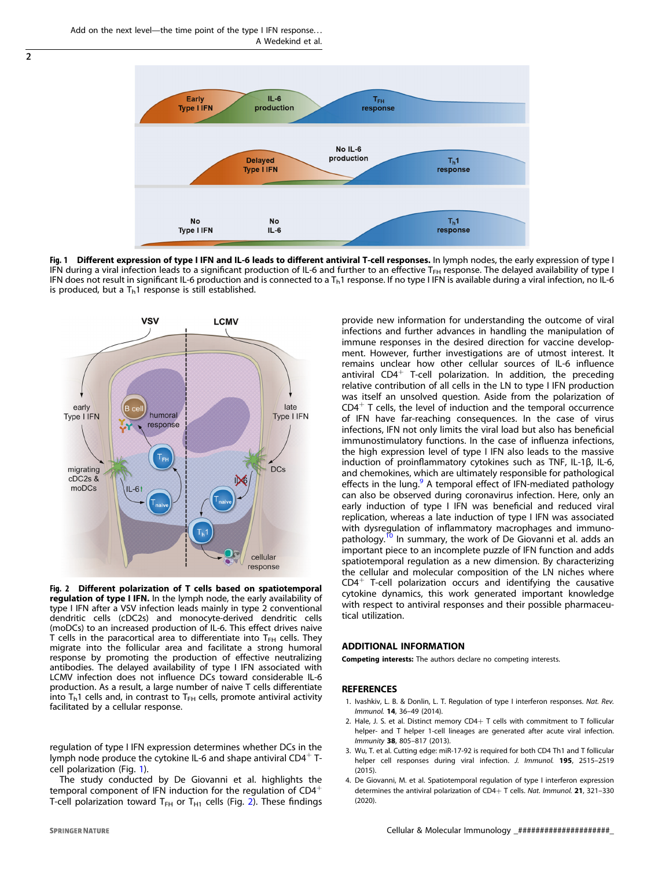<span id="page-1-0"></span> $\overline{2}$ 



Fig. 1 Different expression of type I IFN and IL-6 leads to different antiviral T-cell responses. In lymph nodes, the early expression of type I IFN during a viral infection leads to a significant production of IL-6 and further to an effective T<sub>FH</sub> response. The delayed availability of type I IFN does not result in significant IL-6 production and is connected to a  $T<sub>h</sub>1$  response. If no type I IFN is available during a viral infection, no IL-6 is produced, but a  $T<sub>b</sub>1$  response is still established.



Fig. 2 Different polarization of T cells based on spatiotemporal regulation of type I IFN. In the lymph node, the early availability of type I IFN after a VSV infection leads mainly in type 2 conventional dendritic cells (cDC2s) and monocyte-derived dendritic cells (moDCs) to an increased production of IL-6. This effect drives naive T cells in the paracortical area to differentiate into  $T<sub>FH</sub>$  cells. They migrate into the follicular area and facilitate a strong humoral response by promoting the production of effective neutralizing antibodies. The delayed availability of type I IFN associated with LCMV infection does not influence DCs toward considerable IL-6 production. As a result, a large number of naive T cells differentiate into  $T<sub>h</sub>1$  cells and, in contrast to  $T<sub>FH</sub>$  cells, promote antiviral activity facilitated by a cellular response.

regulation of type I IFN expression determines whether DCs in the lymph node produce the cytokine IL-6 and shape antiviral  $CD4^+$  Tcell polarization (Fig. 1).

The study conducted by De Giovanni et al. highlights the temporal component of IFN induction for the regulation of CD4<sup>+</sup> T-cell polarization toward T<sub>FH</sub> or T<sub>H1</sub> cells (Fig. 2). These findings

**SPRINGER NATURE** 

infections and further advances in handling the manipulation of immune responses in the desired direction for vaccine development. However, further investigations are of utmost interest. It remains unclear how other cellular sources of IL-6 influence antiviral  $CD4^+$  T-cell polarization. In addition, the preceding relative contribution of all cells in the LN to type I IFN production was itself an unsolved question. Aside from the polarization of  $CD4<sup>+</sup>$  T cells, the level of induction and the temporal occurrence of IFN have far-reaching consequences. In the case of virus infections, IFN not only limits the viral load but also has beneficial immunostimulatory functions. In the case of influenza infections, the high expression level of type I IFN also leads to the massive induction of proinflammatory cytokines such as TNF, IL-1β, IL-6, and chemokines, which are ultimately responsible for pathological effects in the lung.<sup>[9](#page-2-0)</sup> A temporal effect of IFN-mediated pathology can also be observed during coronavirus infection. Here, only an early induction of type I IFN was beneficial and reduced viral replication, whereas a late induction of type I IFN was associated with dysregulation of inflammatory macrophages and immuno-pathology.<sup>[10](#page-2-0)</sup> In summary, the work of De Giovanni et al. adds an important piece to an incomplete puzzle of IFN function and adds spatiotemporal regulation as a new dimension. By characterizing the cellular and molecular composition of the LN niches where  $CD4^+$  T-cell polarization occurs and identifying the causative cytokine dynamics, this work generated important knowledge with respect to antiviral responses and their possible pharmaceutical utilization.

provide new information for understanding the outcome of viral

## ADDITIONAL INFORMATION

Competing interests: The authors declare no competing interests.

## REFERENCES

- 1. Ivashkiv, L. B. & Donlin, L. T. Regulation of type I interferon responses. Nat. Rev. Immunol. <sup>14</sup>, 36–49 (2014).
- 2. Hale, J. S. et al. Distinct memory  $CD4+T$  cells with commitment to T follicular helper- and T helper 1-cell lineages are generated after acute viral infection. Immunity <sup>38</sup>, 805–817 (2013).
- 3. Wu, T. et al. Cutting edge: miR-17-92 is required for both CD4 Th1 and T follicular helper cell responses during viral infection. J. Immunol. 195, 2515-2519  $(2015)$
- 4. De Giovanni, M. et al. Spatiotemporal regulation of type I interferon expression determines the antiviral polarization of CD4+ T cells. Nat. Immunol. 21, 321-330 (2020).